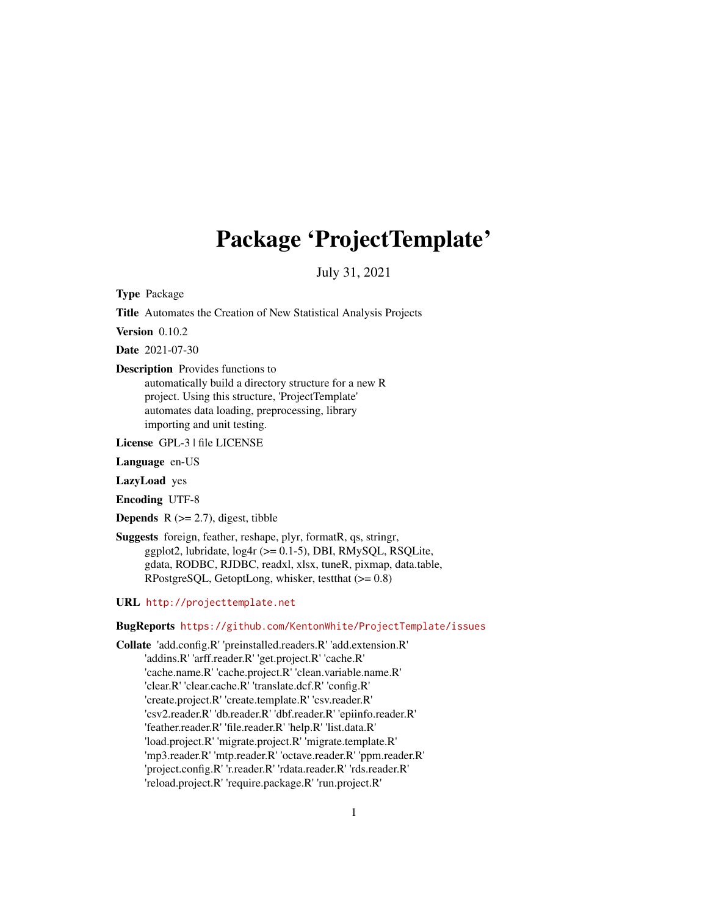## Package 'ProjectTemplate'

July 31, 2021

<span id="page-0-0"></span>Type Package

Title Automates the Creation of New Statistical Analysis Projects

Version 0.10.2

Date 2021-07-30

Description Provides functions to

automatically build a directory structure for a new R project. Using this structure, 'ProjectTemplate' automates data loading, preprocessing, library importing and unit testing.

License GPL-3 | file LICENSE

Language en-US

LazyLoad yes

Encoding UTF-8

**Depends**  $R$  ( $>= 2.7$ ), digest, tibble

Suggests foreign, feather, reshape, plyr, formatR, qs, stringr, ggplot2, lubridate, log4r (>= 0.1-5), DBI, RMySQL, RSQLite, gdata, RODBC, RJDBC, readxl, xlsx, tuneR, pixmap, data.table, RPostgreSQL, GetoptLong, whisker, testthat (>= 0.8)

URL <http://projecttemplate.net>

BugReports <https://github.com/KentonWhite/ProjectTemplate/issues>

Collate 'add.config.R' 'preinstalled.readers.R' 'add.extension.R' 'addins.R' 'arff.reader.R' 'get.project.R' 'cache.R' 'cache.name.R' 'cache.project.R' 'clean.variable.name.R' 'clear.R' 'clear.cache.R' 'translate.dcf.R' 'config.R' 'create.project.R' 'create.template.R' 'csv.reader.R' 'csv2.reader.R' 'db.reader.R' 'dbf.reader.R' 'epiinfo.reader.R' 'feather.reader.R' 'file.reader.R' 'help.R' 'list.data.R' 'load.project.R' 'migrate.project.R' 'migrate.template.R' 'mp3.reader.R' 'mtp.reader.R' 'octave.reader.R' 'ppm.reader.R' 'project.config.R' 'r.reader.R' 'rdata.reader.R' 'rds.reader.R' 'reload.project.R' 'require.package.R' 'run.project.R'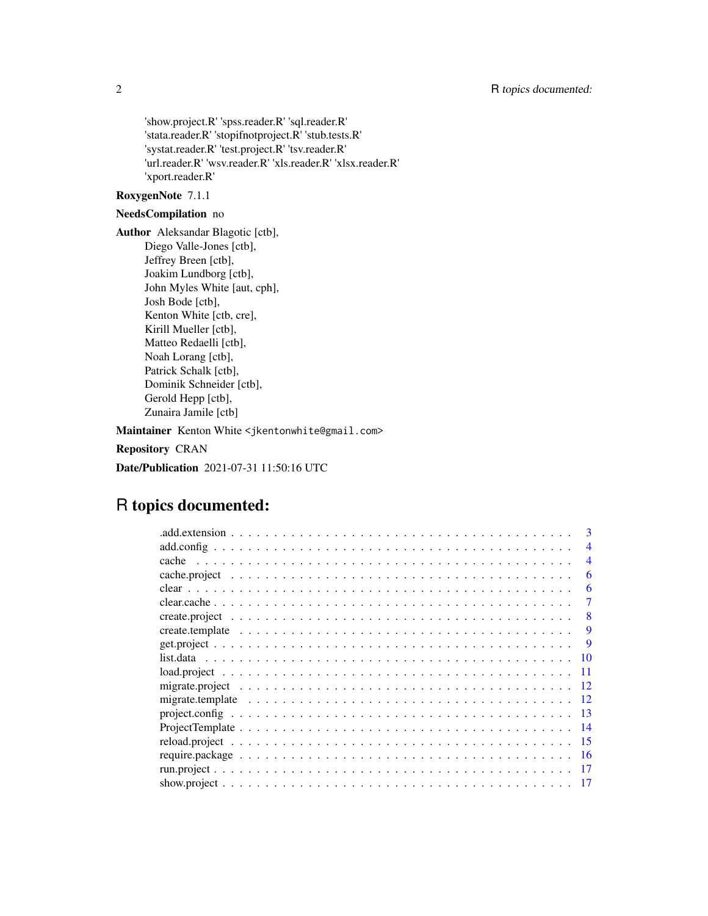'show.project.R' 'spss.reader.R' 'sql.reader.R' 'stata.reader.R' 'stopifnotproject.R' 'stub.tests.R' 'systat.reader.R' 'test.project.R' 'tsv.reader.R' 'url.reader.R' 'wsv.reader.R' 'xls.reader.R' 'xlsx.reader.R' 'xport.reader.R'

#### RoxygenNote 7.1.1

## NeedsCompilation no

Author Aleksandar Blagotic [ctb], Diego Valle-Jones [ctb], Jeffrey Breen [ctb], Joakim Lundborg [ctb], John Myles White [aut, cph], Josh Bode [ctb], Kenton White [ctb, cre], Kirill Mueller [ctb], Matteo Redaelli [ctb], Noah Lorang [ctb], Patrick Schalk [ctb], Dominik Schneider [ctb], Gerold Hepp [ctb], Zunaira Jamile [ctb]

Maintainer Kenton White <jkentonwhite@gmail.com>

Repository CRAN

Date/Publication 2021-07-31 11:50:16 UTC

## R topics documented:

|                                                                                                               | 3                        |
|---------------------------------------------------------------------------------------------------------------|--------------------------|
|                                                                                                               | $\overline{\mathcal{A}}$ |
|                                                                                                               | $\overline{4}$           |
|                                                                                                               | 6                        |
|                                                                                                               | 6                        |
|                                                                                                               | 7                        |
|                                                                                                               | 8                        |
|                                                                                                               | 9                        |
|                                                                                                               | 9                        |
|                                                                                                               | 10                       |
|                                                                                                               | 11                       |
|                                                                                                               | 12                       |
| migrate.template $\ldots \ldots \ldots \ldots \ldots \ldots \ldots \ldots \ldots \ldots \ldots \ldots \ldots$ | 12                       |
|                                                                                                               | -13                      |
|                                                                                                               | -14                      |
|                                                                                                               | -15                      |
|                                                                                                               | -16                      |
|                                                                                                               |                          |
|                                                                                                               |                          |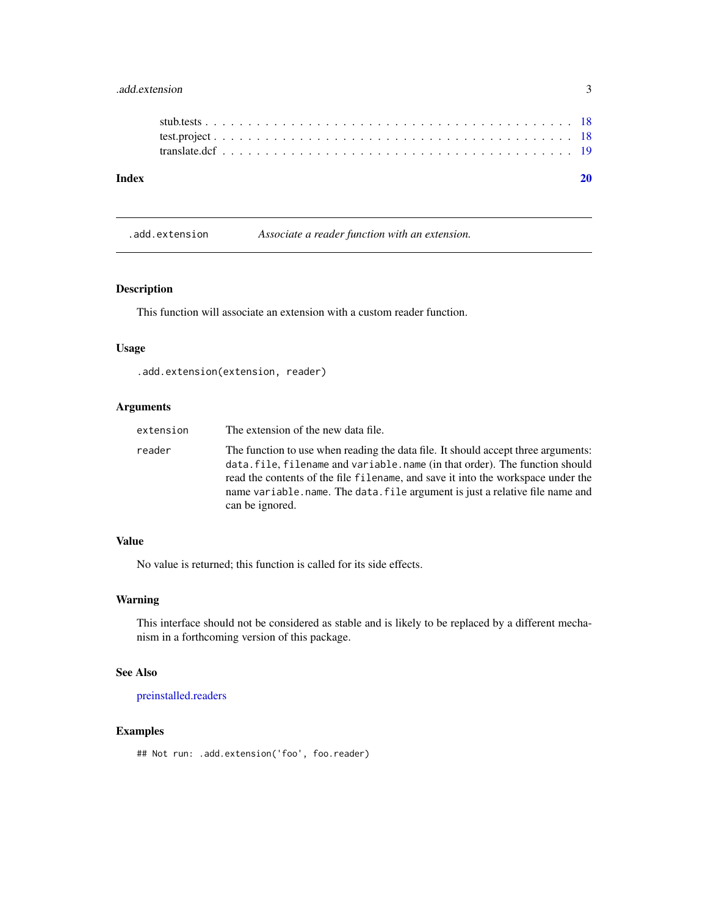## <span id="page-2-0"></span>.add.extension 3

.add.extension *Associate a reader function with an extension.*

## Description

This function will associate an extension with a custom reader function.

#### Usage

.add.extension(extension, reader)

## Arguments

| extension | The extension of the new data file.                                                                                                                                                                                                                                                                                                                    |
|-----------|--------------------------------------------------------------------------------------------------------------------------------------------------------------------------------------------------------------------------------------------------------------------------------------------------------------------------------------------------------|
| reader    | The function to use when reading the data file. It should accept three arguments:<br>data.file, filename and variable.name (in that order). The function should<br>read the contents of the file filename, and save it into the workspace under the<br>name variable.name. The data, file argument is just a relative file name and<br>can be ignored. |

#### Value

No value is returned; this function is called for its side effects.

#### Warning

This interface should not be considered as stable and is likely to be replaced by a different mechanism in a forthcoming version of this package.

#### See Also

[preinstalled.readers](#page-0-0)

## Examples

## Not run: .add.extension('foo', foo.reader)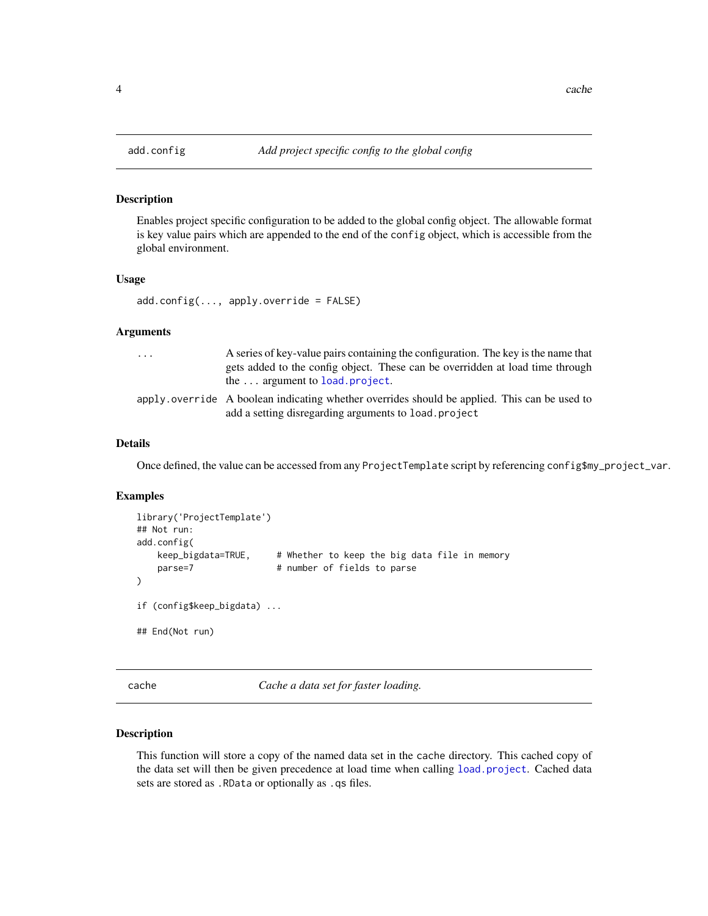Enables project specific configuration to be added to the global config object. The allowable format is key value pairs which are appended to the end of the config object, which is accessible from the global environment.

#### Usage

 $add.config(..., apply-override = FALSE)$ 

## Arguments

| $\cdots$ | A series of key-value pairs containing the configuration. The key is the name that<br>gets added to the config object. These can be overridden at load time through<br>the $\ldots$ argument to load project. |
|----------|---------------------------------------------------------------------------------------------------------------------------------------------------------------------------------------------------------------|
|          | apply over ride A boolean indicating whether overrides should be applied. This can be used to<br>add a setting disregarding arguments to load. project                                                        |

## Details

Once defined, the value can be accessed from any ProjectTemplate script by referencing config\$my\_project\_var.

#### Examples

```
library('ProjectTemplate')
## Not run:
add.config(
   keep_bigdata=TRUE, # Whether to keep the big data file in memory
   parse=7 # number of fields to parse
\mathcal{L}if (config$keep_bigdata) ...
## End(Not run)
```
cache *Cache a data set for faster loading.*

## Description

This function will store a copy of the named data set in the cache directory. This cached copy of the data set will then be given precedence at load time when calling [load.project](#page-10-1). Cached data sets are stored as .RData or optionally as .qs files.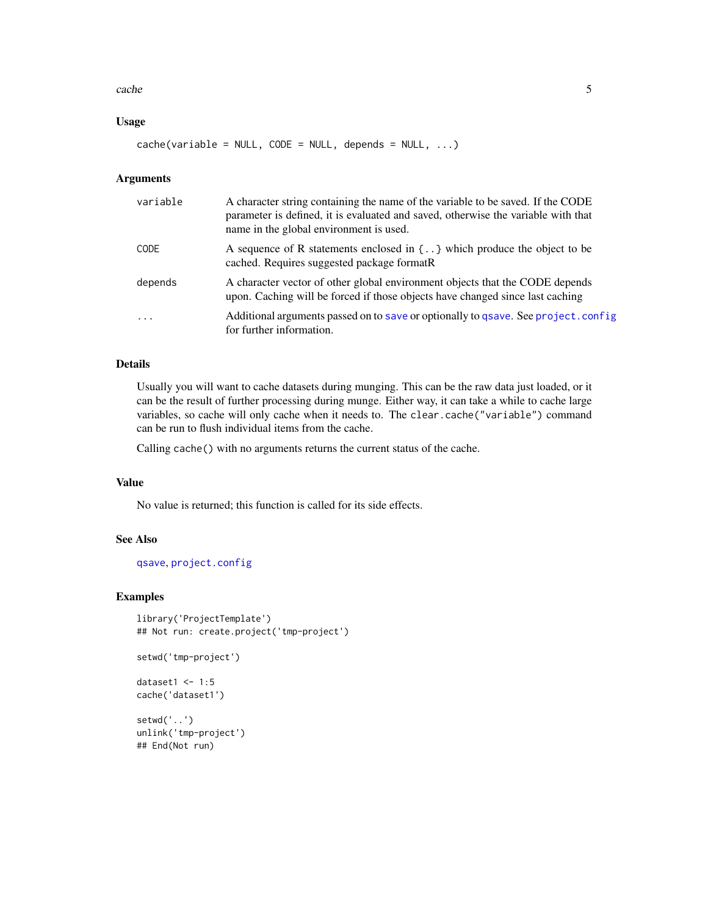#### <span id="page-4-0"></span>cache 5

## Usage

 $cache(variable = NULL, CODE = NULL, depends = NULL, ...)$ 

## Arguments

| variable   | A character string containing the name of the variable to be saved. If the CODE<br>parameter is defined, it is evaluated and saved, otherwise the variable with that<br>name in the global environment is used. |
|------------|-----------------------------------------------------------------------------------------------------------------------------------------------------------------------------------------------------------------|
| CODE       | A sequence of R statements enclosed in $\{.\right\}$ which produce the object to be<br>cached. Requires suggested package formatR                                                                               |
| depends    | A character vector of other global environment objects that the CODE depends<br>upon. Caching will be forced if those objects have changed since last caching                                                   |
| $\ddots$ . | Additional arguments passed on to save or optionally to gsave. See project.config<br>for further information.                                                                                                   |

## Details

Usually you will want to cache datasets during munging. This can be the raw data just loaded, or it can be the result of further processing during munge. Either way, it can take a while to cache large variables, so cache will only cache when it needs to. The clear.cache("variable") command can be run to flush individual items from the cache.

Calling cache() with no arguments returns the current status of the cache.

#### Value

No value is returned; this function is called for its side effects.

## See Also

[qsave](#page-0-0), [project.config](#page-12-1)

#### Examples

```
library('ProjectTemplate')
## Not run: create.project('tmp-project')
setwd('tmp-project')
```

```
dataset1 < -1:5cache('dataset1')
```
setwd('..') unlink('tmp-project') ## End(Not run)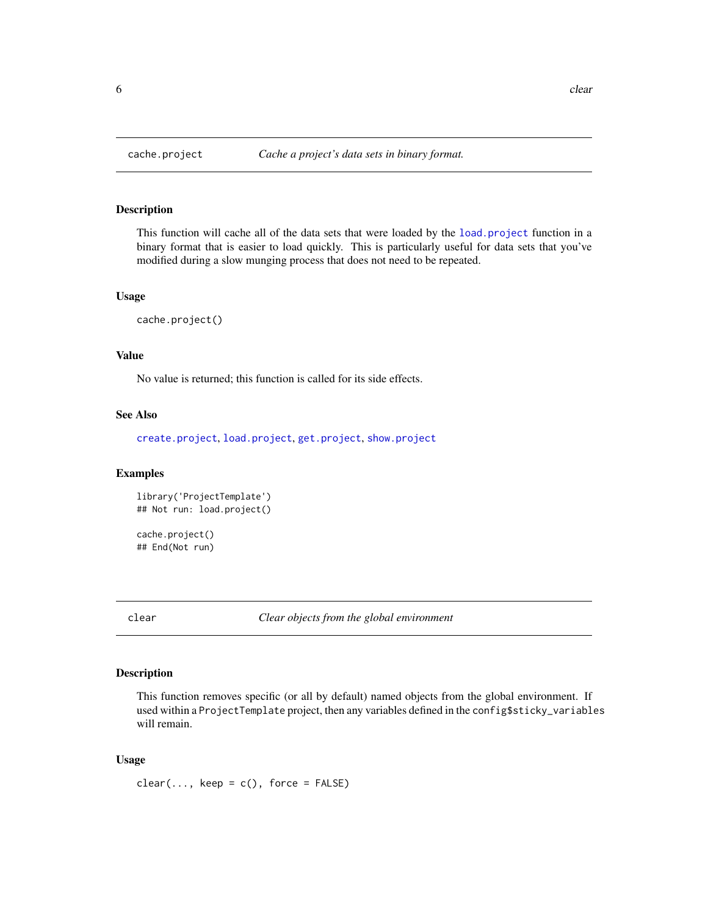This function will cache all of the data sets that were loaded by the [load.project](#page-10-1) function in a binary format that is easier to load quickly. This is particularly useful for data sets that you've modified during a slow munging process that does not need to be repeated.

#### Usage

```
cache.project()
```
## Value

No value is returned; this function is called for its side effects.

## See Also

[create.project](#page-7-1), [load.project](#page-10-1), [get.project](#page-8-1), [show.project](#page-16-1)

#### Examples

library('ProjectTemplate') ## Not run: load.project()

cache.project() ## End(Not run)

clear *Clear objects from the global environment*

#### Description

This function removes specific (or all by default) named objects from the global environment. If used within a ProjectTemplate project, then any variables defined in the config\$sticky\_variables will remain.

#### Usage

 $clear(..., keep = c(), force = FALSE)$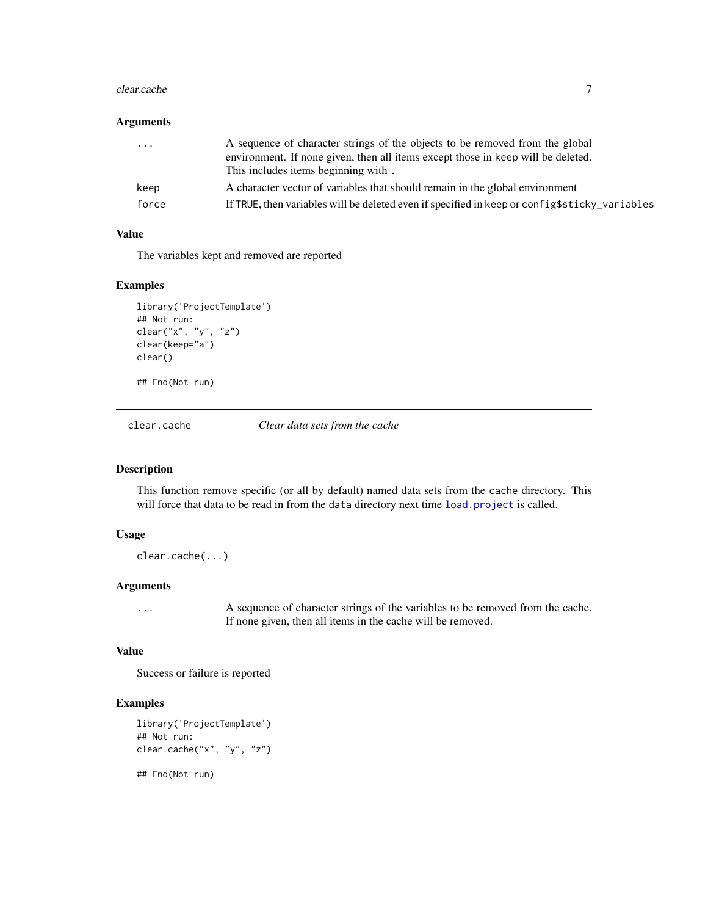#### <span id="page-6-0"></span>clear.cache 7

## Arguments

| $\ddotsc$ | A sequence of character strings of the objects to be removed from the global                  |
|-----------|-----------------------------------------------------------------------------------------------|
|           | environment. If none given, then all items except those in keep will be deleted.              |
|           | This includes items beginning with.                                                           |
| keep      | A character vector of variables that should remain in the global environment                  |
| force     | If TRUE, then variables will be deleted even if specified in keep or config\$sticky_variables |

## Value

The variables kept and removed are reported

## Examples

```
library('ProjectTemplate')
## Not run:
clear("x", "y", "z")
clear(keep="a")
clear()
```
## End(Not run)

clear.cache *Clear data sets from the cache*

#### Description

This function remove specific (or all by default) named data sets from the cache directory. This will force that data to be read in from the data directory next time [load.project](#page-10-1) is called.

## Usage

clear.cache(...)

## Arguments

... A sequence of character strings of the variables to be removed from the cache. If none given, then all items in the cache will be removed.

#### Value

Success or failure is reported

## Examples

```
library('ProjectTemplate')
## Not run:
clear.cache("x", "y", "z")
```
## End(Not run)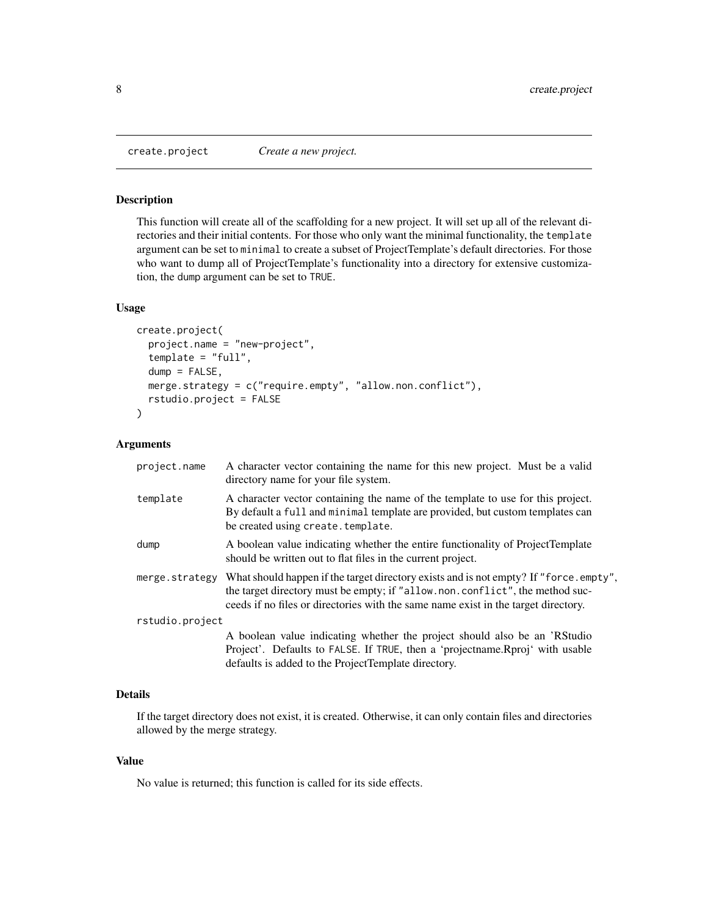<span id="page-7-1"></span><span id="page-7-0"></span>

This function will create all of the scaffolding for a new project. It will set up all of the relevant directories and their initial contents. For those who only want the minimal functionality, the template argument can be set to minimal to create a subset of ProjectTemplate's default directories. For those who want to dump all of ProjectTemplate's functionality into a directory for extensive customization, the dump argument can be set to TRUE.

#### Usage

```
create.project(
  project.name = "new-project",
  template = "full",dump = FALSE,merge.strategy = c("require.empty", "allow.non.conflict"),
  rstudio.project = FALSE
\mathcal{L}
```
#### Arguments

| project.name    | A character vector containing the name for this new project. Must be a valid<br>directory name for your file system.                                                                                                                                        |  |
|-----------------|-------------------------------------------------------------------------------------------------------------------------------------------------------------------------------------------------------------------------------------------------------------|--|
| template        | A character vector containing the name of the template to use for this project.<br>By default a full and minimal template are provided, but custom templates can<br>be created using create. template.                                                      |  |
| dump            | A boolean value indicating whether the entire functionality of ProjectTemplate<br>should be written out to flat files in the current project.                                                                                                               |  |
| merge.strategy  | What should happen if the target directory exists and is not empty? If "force.empty",<br>the target directory must be empty; if "allow.non.conflict", the method suc-<br>ceeds if no files or directories with the same name exist in the target directory. |  |
| rstudio.project |                                                                                                                                                                                                                                                             |  |
|                 | A boolean value indicating whether the project should also be an 'RStudio<br>Project'. Defaults to FALSE. If TRUE, then a 'projectname. Rproj' with usable<br>defaults is added to the ProjectTemplate directory.                                           |  |

## Details

If the target directory does not exist, it is created. Otherwise, it can only contain files and directories allowed by the merge strategy.

## Value

No value is returned; this function is called for its side effects.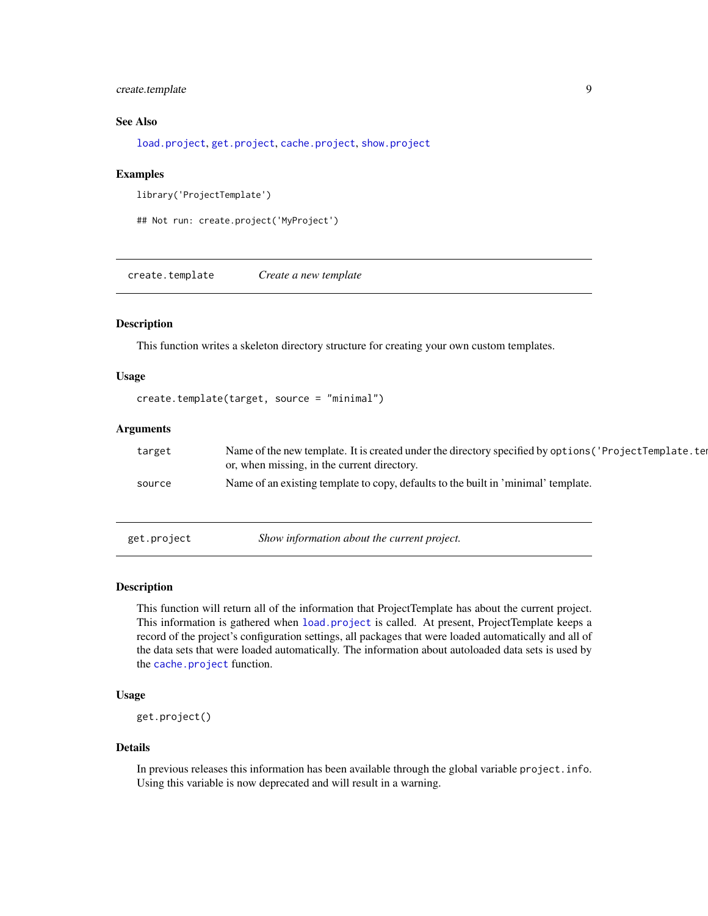## <span id="page-8-0"></span>create.template 9

## See Also

[load.project](#page-10-1), [get.project](#page-8-1), [cache.project](#page-5-1), [show.project](#page-16-1)

#### Examples

```
library('ProjectTemplate')
```

```
## Not run: create.project('MyProject')
```
create.template *Create a new template*

## Description

This function writes a skeleton directory structure for creating your own custom templates.

## Usage

```
create.template(target, source = "minimal")
```
#### Arguments

| target | Name of the new template. It is created under the directory specified by options ('ProjectTemplate.ter<br>or, when missing, in the current directory. |
|--------|-------------------------------------------------------------------------------------------------------------------------------------------------------|
| source | Name of an existing template to copy, defaults to the built in 'minimal' template.                                                                    |

<span id="page-8-1"></span>get.project *Show information about the current project.*

#### Description

This function will return all of the information that ProjectTemplate has about the current project. This information is gathered when [load.project](#page-10-1) is called. At present, ProjectTemplate keeps a record of the project's configuration settings, all packages that were loaded automatically and all of the data sets that were loaded automatically. The information about autoloaded data sets is used by the [cache.project](#page-5-1) function.

## Usage

get.project()

#### Details

In previous releases this information has been available through the global variable project.info. Using this variable is now deprecated and will result in a warning.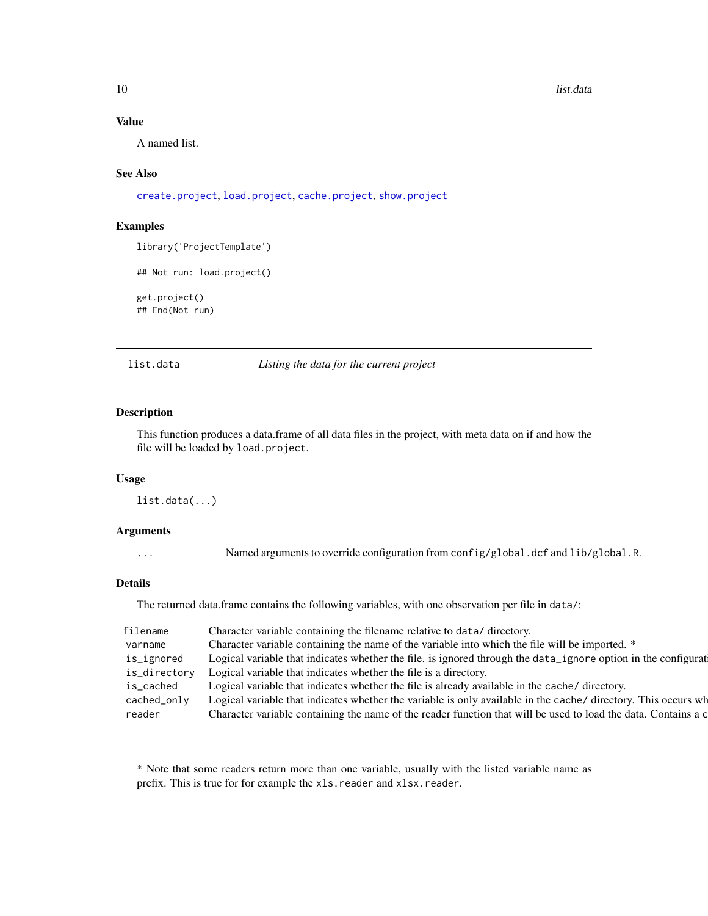## <span id="page-9-0"></span>Value

A named list.

#### See Also

[create.project](#page-7-1), [load.project](#page-10-1), [cache.project](#page-5-1), [show.project](#page-16-1)

#### Examples

library('ProjectTemplate')

```
## Not run: load.project()
```

```
get.project()
## End(Not run)
```
list.data *Listing the data for the current project*

#### Description

This function produces a data.frame of all data files in the project, with meta data on if and how the file will be loaded by load.project.

#### Usage

list.data(...)

#### Arguments

... Named arguments to override configuration from config/global.dcf and lib/global.R.

#### Details

The returned data.frame contains the following variables, with one observation per file in data/:

| filename     | Character variable containing the filename relative to data/ directory.                                        |
|--------------|----------------------------------------------------------------------------------------------------------------|
| varname      | Character variable containing the name of the variable into which the file will be imported. *                 |
| is_ignored   | Logical variable that indicates whether the file. is ignored through the data_ignore option in the configurat  |
| is_directory | Logical variable that indicates whether the file is a directory.                                               |
| is_cached    | Logical variable that indicates whether the file is already available in the cache/ directory.                 |
| cached_only  | Logical variable that indicates whether the variable is only available in the cache/ directory. This occurs wh |
| reader       | Character variable containing the name of the reader function that will be used to load the data. Contains a c |

\* Note that some readers return more than one variable, usually with the listed variable name as prefix. This is true for for example the xls.reader and xlsx.reader.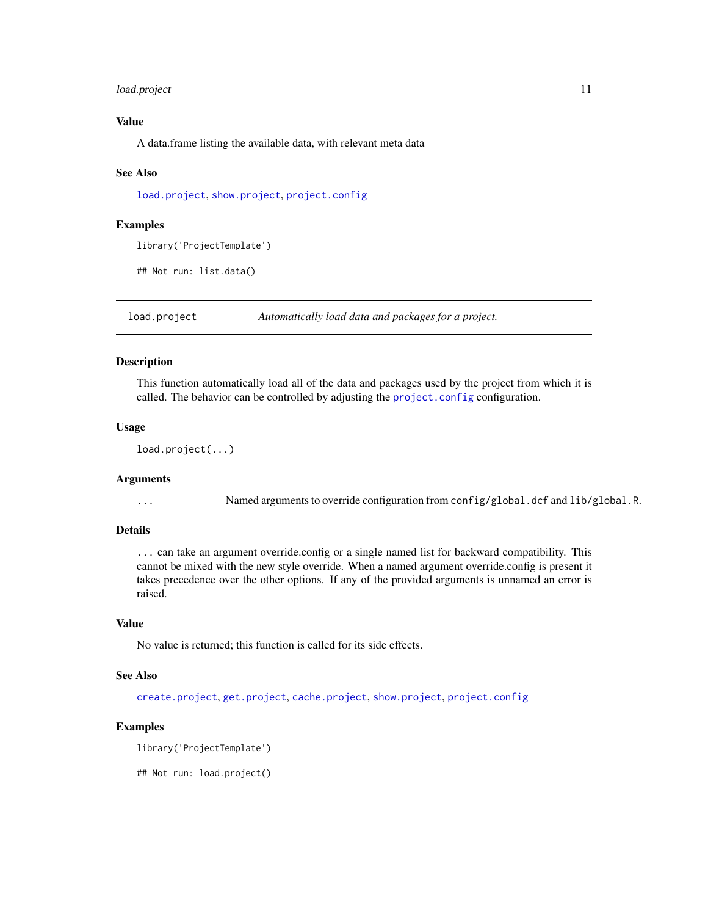## <span id="page-10-0"></span>load.project 11

## Value

A data.frame listing the available data, with relevant meta data

#### See Also

[load.project](#page-10-1), [show.project](#page-16-1), [project.config](#page-12-1)

#### Examples

library('ProjectTemplate')

## Not run: list.data()

<span id="page-10-1"></span>load.project *Automatically load data and packages for a project.*

## Description

This function automatically load all of the data and packages used by the project from which it is called. The behavior can be controlled by adjusting the [project.config](#page-12-1) configuration.

#### Usage

```
load.project(...)
```
#### Arguments

... Named arguments to override configuration from config/global.dcf and lib/global.R.

#### Details

... can take an argument override.config or a single named list for backward compatibility. This cannot be mixed with the new style override. When a named argument override.config is present it takes precedence over the other options. If any of the provided arguments is unnamed an error is raised.

#### Value

No value is returned; this function is called for its side effects.

## See Also

[create.project](#page-7-1), [get.project](#page-8-1), [cache.project](#page-5-1), [show.project](#page-16-1), [project.config](#page-12-1)

#### Examples

```
library('ProjectTemplate')
```
## Not run: load.project()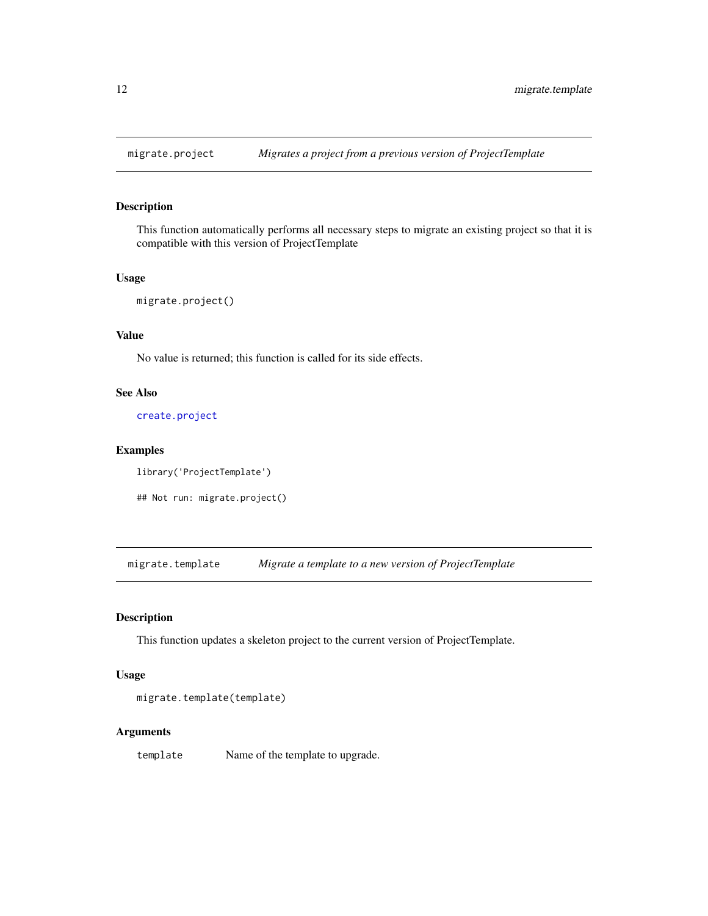<span id="page-11-0"></span>

This function automatically performs all necessary steps to migrate an existing project so that it is compatible with this version of ProjectTemplate

#### Usage

```
migrate.project()
```
## Value

No value is returned; this function is called for its side effects.

## See Also

[create.project](#page-7-1)

## Examples

```
library('ProjectTemplate')
```
## Not run: migrate.project()

migrate.template *Migrate a template to a new version of ProjectTemplate*

## Description

This function updates a skeleton project to the current version of ProjectTemplate.

### Usage

```
migrate.template(template)
```
### Arguments

template Name of the template to upgrade.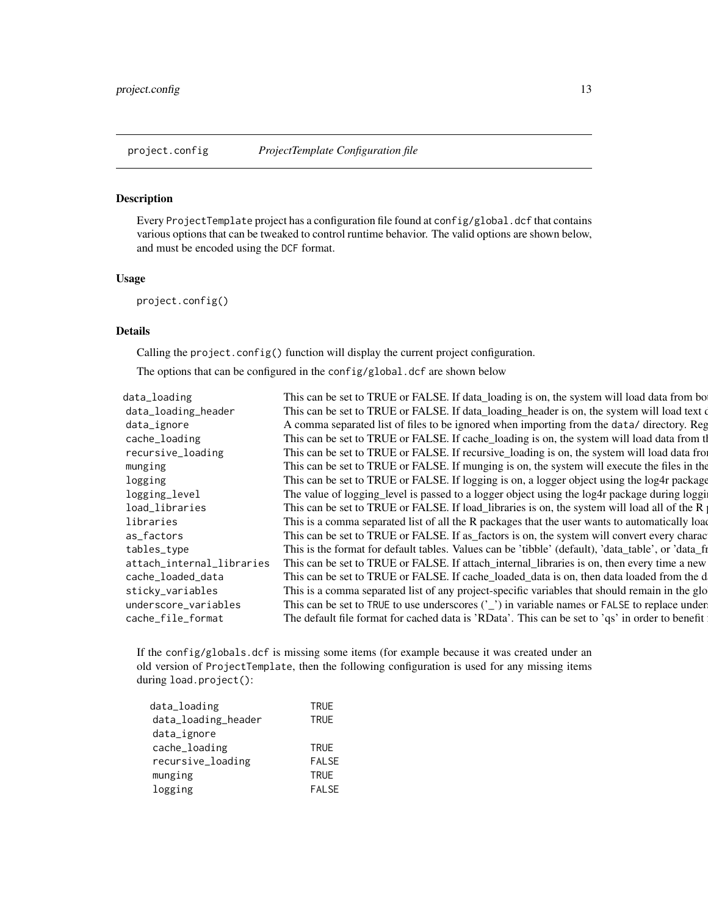<span id="page-12-1"></span><span id="page-12-0"></span>

Every ProjectTemplate project has a configuration file found at config/global.dcf that contains various options that can be tweaked to control runtime behavior. The valid options are shown below, and must be encoded using the DCF format.

## Usage

project.config()

## Details

Calling the project.config() function will display the current project configuration.

The options that can be configured in the config/global.dcf are shown below

| data_loading              | This can be set to TRUE or FALSE. If data_loading is on, the system will load data from bo         |
|---------------------------|----------------------------------------------------------------------------------------------------|
| data_loading_header       | This can be set to TRUE or FALSE. If data_loading_header is on, the system will load text of       |
| data_ignore               | A comma separated list of files to be ignored when importing from the data/ directory. Reg         |
| cache_loading             | This can be set to TRUE or FALSE. If cache_loading is on, the system will load data from the       |
| recursive_loading         | This can be set to TRUE or FALSE. If recursive loading is on, the system will load data from       |
| munging                   | This can be set to TRUE or FALSE. If munging is on, the system will execute the files in the       |
| logging                   | This can be set to TRUE or FALSE. If logging is on, a logger object using the log4r package        |
| logging_level             | The value of logging_level is passed to a logger object using the log4r package during loggi       |
| load_libraries            | This can be set to TRUE or FALSE. If load_libraries is on, the system will load all of the R       |
| libraries                 | This is a comma separated list of all the R packages that the user wants to automatically load     |
| as_factors                | This can be set to TRUE or FALSE. If as factors is on, the system will convert every charac        |
| tables_type               | This is the format for default tables. Values can be 'tibble' (default), 'data_table', or 'data_fi |
| attach_internal_libraries | This can be set to TRUE or FALSE. If attach_internal_libraries is on, then every time a new        |
| cache_loaded_data         | This can be set to TRUE or FALSE. If cache_loaded_data is on, then data loaded from the d          |
| sticky_variables          | This is a comma separated list of any project-specific variables that should remain in the glo     |
| underscore_variables      | This can be set to TRUE to use underscores $('_')$ in variable names or FALSE to replace under     |
| cache_file_format         | The default file format for cached data is 'RData'. This can be set to 'qs' in order to benefit    |
|                           |                                                                                                    |

If the config/globals.dcf is missing some items (for example because it was created under an old version of ProjectTemplate, then the following configuration is used for any missing items during load.project():

| data_loading        | <b>TRUE</b>  |
|---------------------|--------------|
| data_loading_header | <b>TRUE</b>  |
| data_ignore         |              |
| cache_loading       | <b>TRUE</b>  |
| recursive_loading   | <b>FALSE</b> |
| munging             | <b>TRUE</b>  |
| logging             | <b>FALSE</b> |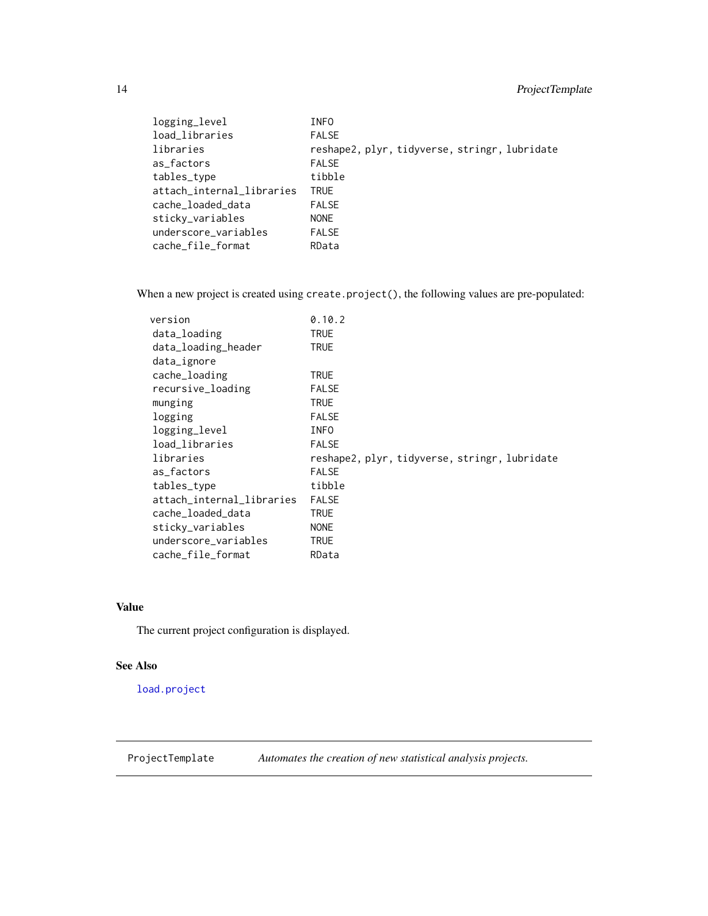## <span id="page-13-0"></span>14 ProjectTemplate

| logging_level             | INFO                                          |
|---------------------------|-----------------------------------------------|
| load_libraries            | <b>FALSE</b>                                  |
| libraries                 | reshape2, plyr, tidyverse, stringr, lubridate |
| as factors                | <b>FALSE</b>                                  |
| tables_type               | tibble                                        |
| attach_internal_libraries | <b>TRUE</b>                                   |
| cache_loaded_data         | <b>FALSE</b>                                  |
| sticky_variables          | <b>NONE</b>                                   |
| underscore_variables      | <b>FALSE</b>                                  |
| cache_file_format         | RData                                         |

When a new project is created using create.project(), the following values are pre-populated:

| version                   | 0.10.2                                        |
|---------------------------|-----------------------------------------------|
| data_loading              | TRUE                                          |
| data_loading_header       | <b>TRUE</b>                                   |
| data_ignore               |                                               |
| cache_loading             | <b>TRUE</b>                                   |
| recursive_loading         | <b>FALSE</b>                                  |
| munging                   | <b>TRUE</b>                                   |
| logging                   | <b>FALSE</b>                                  |
| logging_level             | <b>INFO</b>                                   |
| load_libraries            | <b>FALSE</b>                                  |
| libraries                 | reshape2, plyr, tidyverse, stringr, lubridate |
| as factors                | <b>FALSE</b>                                  |
| tables_type               | tibble                                        |
| attach internal libraries | <b>FALSE</b>                                  |
| cache_loaded_data         | <b>TRUE</b>                                   |
| sticky_variables          | <b>NONE</b>                                   |
| underscore_variables      | <b>TRUE</b>                                   |
| cache_file_format         | RData                                         |

## Value

The current project configuration is displayed.

#### See Also

[load.project](#page-10-1)

ProjectTemplate *Automates the creation of new statistical analysis projects.*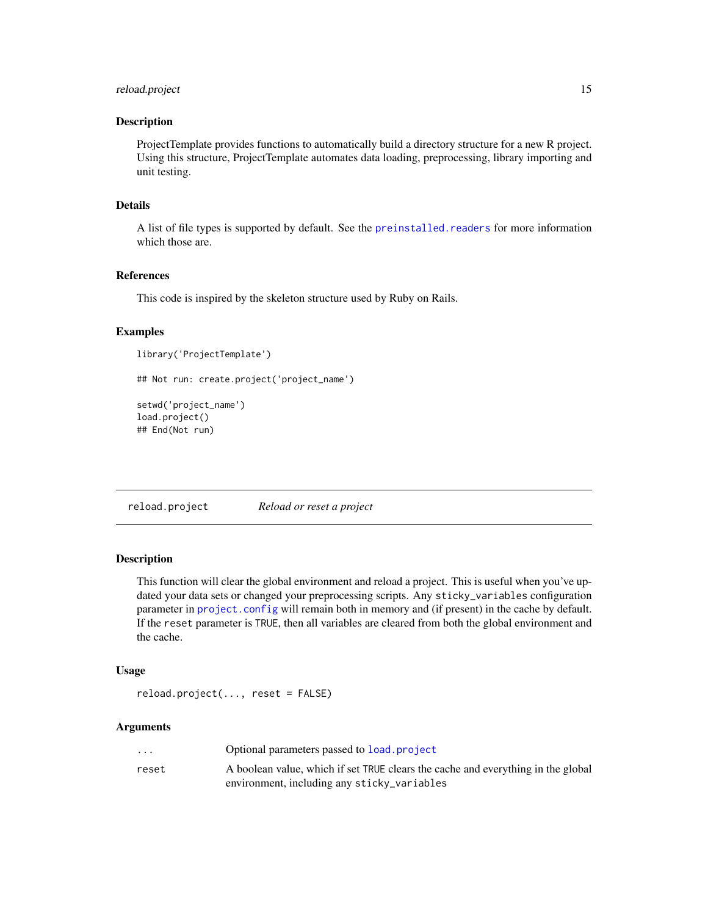## <span id="page-14-0"></span>reload.project 15

#### Description

ProjectTemplate provides functions to automatically build a directory structure for a new R project. Using this structure, ProjectTemplate automates data loading, preprocessing, library importing and unit testing.

## Details

A list of file types is supported by default. See the [preinstalled.readers](#page-0-0) for more information which those are.

## References

This code is inspired by the skeleton structure used by Ruby on Rails.

#### Examples

```
library('ProjectTemplate')
## Not run: create.project('project_name')
setwd('project_name')
load.project()
## End(Not run)
```
reload.project *Reload or reset a project*

## Description

This function will clear the global environment and reload a project. This is useful when you've updated your data sets or changed your preprocessing scripts. Any sticky\_variables configuration parameter in [project.config](#page-12-1) will remain both in memory and (if present) in the cache by default. If the reset parameter is TRUE, then all variables are cleared from both the global environment and the cache.

#### Usage

```
reload.project(..., reset = FALSE)
```
#### Arguments

| $\cdot$ $\cdot$ $\cdot$ | Optional parameters passed to load project                                       |
|-------------------------|----------------------------------------------------------------------------------|
| reset                   | A boolean value, which if set TRUE clears the cache and everything in the global |
|                         | environment, including any sticky_variables                                      |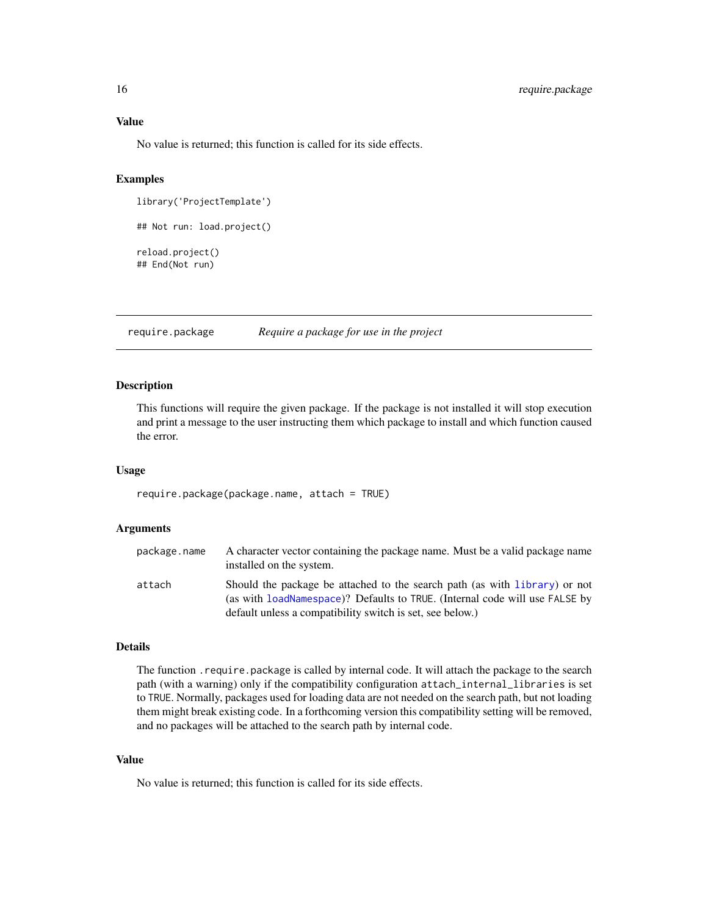<span id="page-15-0"></span>No value is returned; this function is called for its side effects.

#### Examples

```
library('ProjectTemplate')
## Not run: load.project()
reload.project()
## End(Not run)
```
require.package *Require a package for use in the project*

#### Description

This functions will require the given package. If the package is not installed it will stop execution and print a message to the user instructing them which package to install and which function caused the error.

#### Usage

```
require.package(package.name, attach = TRUE)
```
#### Arguments

| package.name | A character vector containing the package name. Must be a valid package name<br>installed on the system.                                                                                                               |
|--------------|------------------------------------------------------------------------------------------------------------------------------------------------------------------------------------------------------------------------|
| attach       | Should the package be attached to the search path (as with library) or not<br>(as with loadNamespace)? Defaults to TRUE. (Internal code will use FALSE by<br>default unless a compatibility switch is set, see below.) |

#### Details

The function .require.package is called by internal code. It will attach the package to the search path (with a warning) only if the compatibility configuration attach\_internal\_libraries is set to TRUE. Normally, packages used for loading data are not needed on the search path, but not loading them might break existing code. In a forthcoming version this compatibility setting will be removed, and no packages will be attached to the search path by internal code.

#### Value

No value is returned; this function is called for its side effects.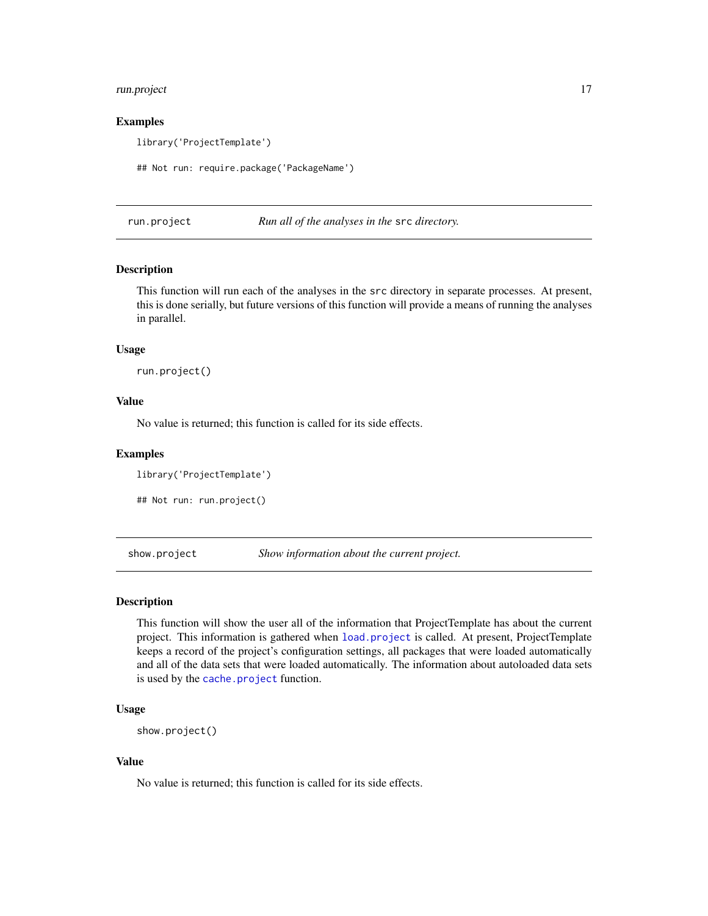## <span id="page-16-0"></span>run.project 17

#### Examples

library('ProjectTemplate')

## Not run: require.package('PackageName')

run.project *Run all of the analyses in the* src *directory.*

#### Description

This function will run each of the analyses in the src directory in separate processes. At present, this is done serially, but future versions of this function will provide a means of running the analyses in parallel.

#### Usage

run.project()

## Value

No value is returned; this function is called for its side effects.

#### Examples

library('ProjectTemplate')

```
## Not run: run.project()
```
<span id="page-16-1"></span>show.project *Show information about the current project.*

#### Description

This function will show the user all of the information that ProjectTemplate has about the current project. This information is gathered when [load.project](#page-10-1) is called. At present, ProjectTemplate keeps a record of the project's configuration settings, all packages that were loaded automatically and all of the data sets that were loaded automatically. The information about autoloaded data sets is used by the [cache.project](#page-5-1) function.

#### Usage

```
show.project()
```
#### Value

No value is returned; this function is called for its side effects.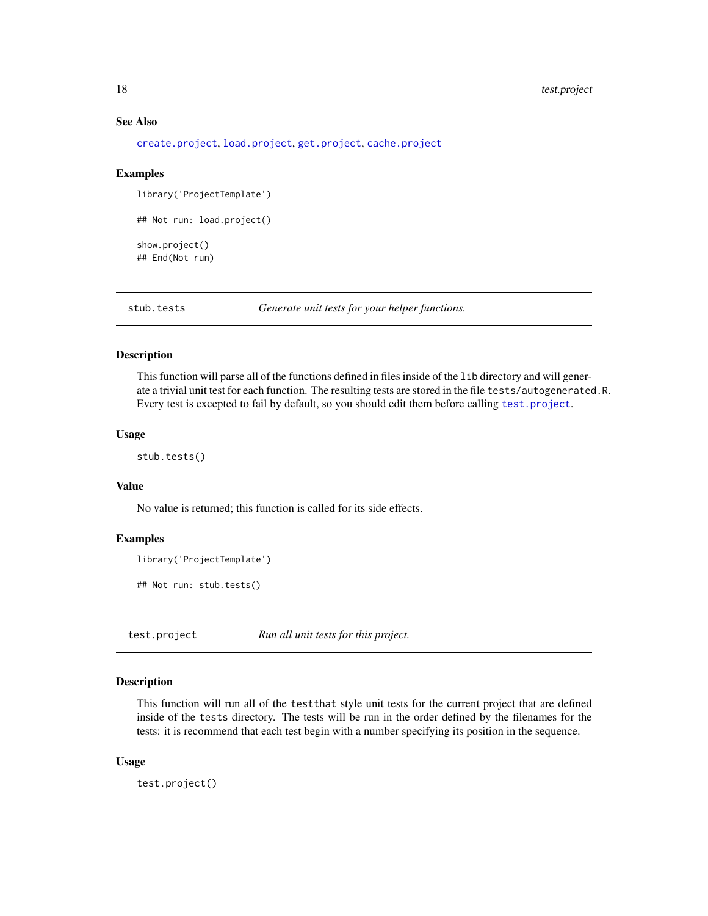## See Also

[create.project](#page-7-1), [load.project](#page-10-1), [get.project](#page-8-1), [cache.project](#page-5-1)

#### Examples

library('ProjectTemplate')

```
## Not run: load.project()
```
show.project() ## End(Not run)

stub.tests *Generate unit tests for your helper functions.*

#### Description

This function will parse all of the functions defined in files inside of the lib directory and will generate a trivial unit test for each function. The resulting tests are stored in the file tests/autogenerated.R. Every test is excepted to fail by default, so you should edit them before calling [test.project](#page-17-1).

#### Usage

stub.tests()

## Value

No value is returned; this function is called for its side effects.

#### Examples

```
library('ProjectTemplate')
```
## Not run: stub.tests()

<span id="page-17-1"></span>test.project *Run all unit tests for this project.*

## Description

This function will run all of the testthat style unit tests for the current project that are defined inside of the tests directory. The tests will be run in the order defined by the filenames for the tests: it is recommend that each test begin with a number specifying its position in the sequence.

#### Usage

test.project()

<span id="page-17-0"></span>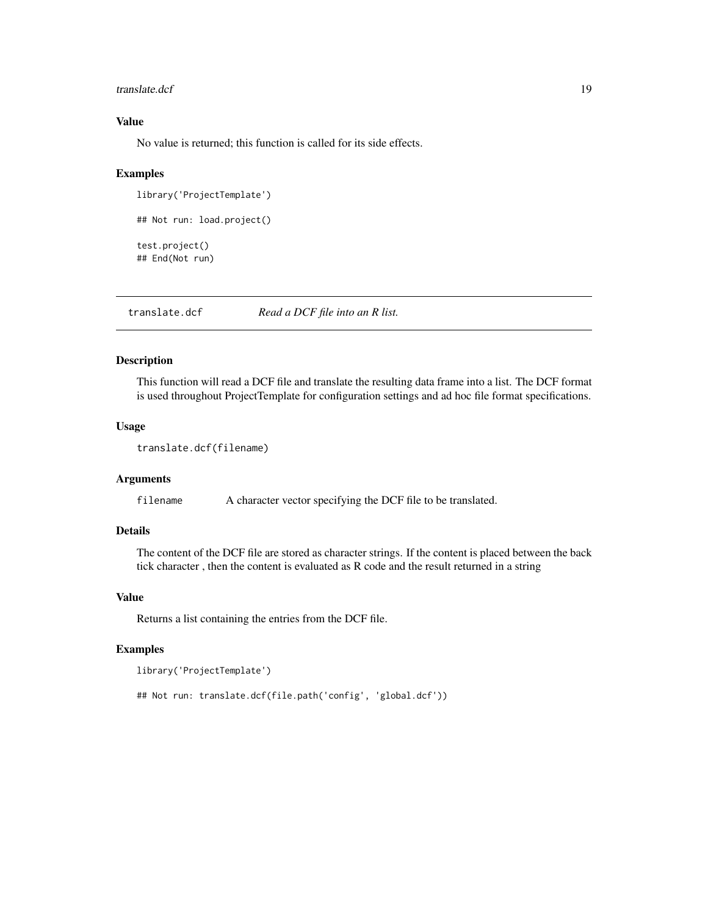#### <span id="page-18-0"></span>translate.dcf 19

## Value

No value is returned; this function is called for its side effects.

#### Examples

```
library('ProjectTemplate')
## Not run: load.project()
test.project()
## End(Not run)
```
translate.dcf *Read a DCF file into an R list.*

#### Description

This function will read a DCF file and translate the resulting data frame into a list. The DCF format is used throughout ProjectTemplate for configuration settings and ad hoc file format specifications.

## Usage

```
translate.dcf(filename)
```
#### **Arguments**

filename A character vector specifying the DCF file to be translated.

#### Details

The content of the DCF file are stored as character strings. If the content is placed between the back tick character , then the content is evaluated as R code and the result returned in a string

#### Value

Returns a list containing the entries from the DCF file.

## Examples

```
library('ProjectTemplate')
```

```
## Not run: translate.dcf(file.path('config', 'global.dcf'))
```